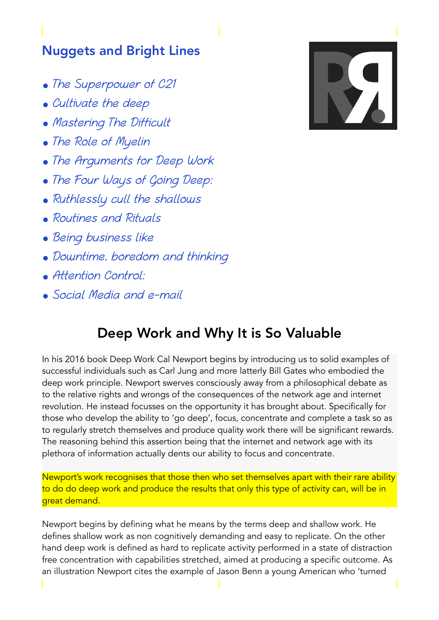## Nuggets and Bright Lines

- The Superpower of C21
- Cultivate the deep
- Mastering The Difficult
- The Role of Myelin
- The Arguments for Deep Work
- The Four Ways of Going Deep:
- Ruthlessly cull the shallows
- Routines and Rituals
- Being business like
- Downtime, boredom and thinking
- Attention Control:
- Social Media and e-mail

## Deep Work and Why It is So Valuable

In his 2016 book Deep Work Cal Newport begins by introducing us to solid examples of successful individuals such as Carl Jung and more latterly Bill Gates who embodied the deep work principle. Newport swerves consciously away from a philosophical debate as to the relative rights and wrongs of the consequences of the network age and internet revolution. He instead focusses on the opportunity it has brought about. Specifically for those who develop the ability to 'go deep', focus, concentrate and complete a task so as to regularly stretch themselves and produce quality work there will be significant rewards. The reasoning behind this assertion being that the internet and network age with its plethora of information actually dents our ability to focus and concentrate.

Newport's work recognises that those then who set themselves apart with their rare ability to do do deep work and produce the results that only this type of activity can, will be in great demand.

Newport begins by defining what he means by the terms deep and shallow work. He defines shallow work as non cognitively demanding and easy to replicate. On the other hand deep work is defined as hard to replicate activity performed in a state of distraction free concentration with capabilities stretched, aimed at producing a specific outcome. As an illustration Newport cites the example of Jason Benn a young American who 'turned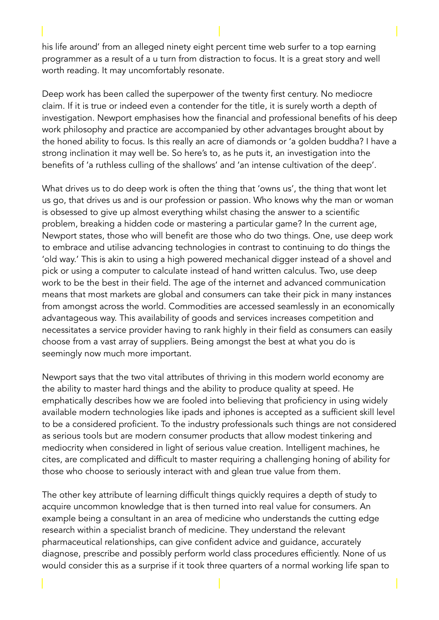his life around' from an alleged ninety eight percent time web surfer to a top earning programmer as a result of a u turn from distraction to focus. It is a great story and well worth reading. It may uncomfortably resonate.

Deep work has been called the superpower of the twenty first century. No mediocre claim. If it is true or indeed even a contender for the title, it is surely worth a depth of investigation. Newport emphasises how the financial and professional benefits of his deep work philosophy and practice are accompanied by other advantages brought about by the honed ability to focus. Is this really an acre of diamonds or 'a golden buddha? I have a strong inclination it may well be. So here's to, as he puts it, an investigation into the benefits of 'a ruthless culling of the shallows' and 'an intense cultivation of the deep'.

What drives us to do deep work is often the thing that 'owns us', the thing that wont let us go, that drives us and is our profession or passion. Who knows why the man or woman is obsessed to give up almost everything whilst chasing the answer to a scientific problem, breaking a hidden code or mastering a particular game? In the current age, Newport states, those who will benefit are those who do two things. One, use deep work to embrace and utilise advancing technologies in contrast to continuing to do things the 'old way.' This is akin to using a high powered mechanical digger instead of a shovel and pick or using a computer to calculate instead of hand written calculus. Two, use deep work to be the best in their field. The age of the internet and advanced communication means that most markets are global and consumers can take their pick in many instances from amongst across the world. Commodities are accessed seamlessly in an economically advantageous way. This availability of goods and services increases competition and necessitates a service provider having to rank highly in their field as consumers can easily choose from a vast array of suppliers. Being amongst the best at what you do is seemingly now much more important.

Newport says that the two vital attributes of thriving in this modern world economy are the ability to master hard things and the ability to produce quality at speed. He emphatically describes how we are fooled into believing that proficiency in using widely available modern technologies like ipads and iphones is accepted as a sufficient skill level to be a considered proficient. To the industry professionals such things are not considered as serious tools but are modern consumer products that allow modest tinkering and mediocrity when considered in light of serious value creation. Intelligent machines, he cites, are complicated and difficult to master requiring a challenging honing of ability for those who choose to seriously interact with and glean true value from them.

The other key attribute of learning difficult things quickly requires a depth of study to acquire uncommon knowledge that is then turned into real value for consumers. An example being a consultant in an area of medicine who understands the cutting edge research within a specialist branch of medicine. They understand the relevant pharmaceutical relationships, can give confident advice and guidance, accurately diagnose, prescribe and possibly perform world class procedures efficiently. None of us would consider this as a surprise if it took three quarters of a normal working life span to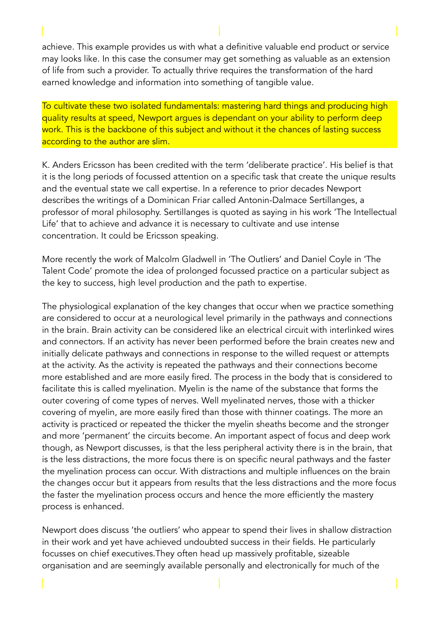achieve. This example provides us with what a definitive valuable end product or service may looks like. In this case the consumer may get something as valuable as an extension of life from such a provider. To actually thrive requires the transformation of the hard earned knowledge and information into something of tangible value.

To cultivate these two isolated fundamentals: mastering hard things and producing high quality results at speed, Newport argues is dependant on your ability to perform deep work. This is the backbone of this subject and without it the chances of lasting success according to the author are slim.

K. Anders Ericsson has been credited with the term 'deliberate practice'. His belief is that it is the long periods of focussed attention on a specific task that create the unique results and the eventual state we call expertise. In a reference to prior decades Newport describes the writings of a Dominican Friar called Antonin-Dalmace Sertillanges, a professor of moral philosophy. Sertillanges is quoted as saying in his work 'The Intellectual Life' that to achieve and advance it is necessary to cultivate and use intense concentration. It could be Ericsson speaking.

More recently the work of Malcolm Gladwell in 'The Outliers' and Daniel Coyle in 'The Talent Code' promote the idea of prolonged focussed practice on a particular subject as the key to success, high level production and the path to expertise.

The physiological explanation of the key changes that occur when we practice something are considered to occur at a neurological level primarily in the pathways and connections in the brain. Brain activity can be considered like an electrical circuit with interlinked wires and connectors. If an activity has never been performed before the brain creates new and initially delicate pathways and connections in response to the willed request or attempts at the activity. As the activity is repeated the pathways and their connections become more established and are more easily fired. The process in the body that is considered to facilitate this is called myelination. Myelin is the name of the substance that forms the outer covering of come types of nerves. Well myelinated nerves, those with a thicker covering of myelin, are more easily fired than those with thinner coatings. The more an activity is practiced or repeated the thicker the myelin sheaths become and the stronger and more 'permanent' the circuits become. An important aspect of focus and deep work though, as Newport discusses, is that the less peripheral activity there is in the brain, that is the less distractions, the more focus there is on specific neural pathways and the faster the myelination process can occur. With distractions and multiple influences on the brain the changes occur but it appears from results that the less distractions and the more focus the faster the myelination process occurs and hence the more efficiently the mastery process is enhanced.

Newport does discuss 'the outliers' who appear to spend their lives in shallow distraction in their work and yet have achieved undoubted success in their fields. He particularly focusses on chief executives.They often head up massively profitable, sizeable organisation and are seemingly available personally and electronically for much of the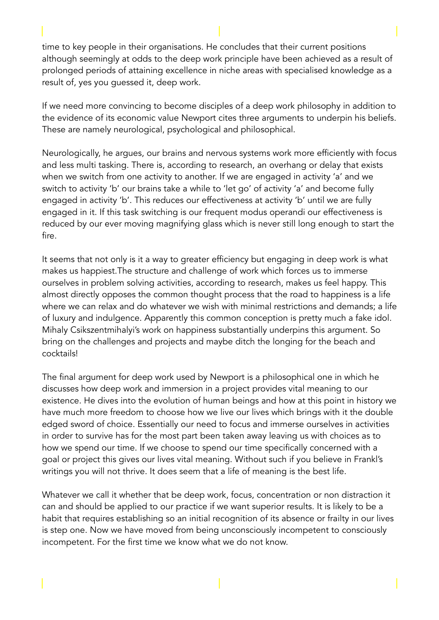time to key people in their organisations. He concludes that their current positions although seemingly at odds to the deep work principle have been achieved as a result of prolonged periods of attaining excellence in niche areas with specialised knowledge as a result of, yes you guessed it, deep work.

If we need more convincing to become disciples of a deep work philosophy in addition to the evidence of its economic value Newport cites three arguments to underpin his beliefs. These are namely neurological, psychological and philosophical.

Neurologically, he argues, our brains and nervous systems work more efficiently with focus and less multi tasking. There is, according to research, an overhang or delay that exists when we switch from one activity to another. If we are engaged in activity 'a' and we switch to activity 'b' our brains take a while to 'let go' of activity 'a' and become fully engaged in activity 'b'. This reduces our effectiveness at activity 'b' until we are fully engaged in it. If this task switching is our frequent modus operandi our effectiveness is reduced by our ever moving magnifying glass which is never still long enough to start the fire.

It seems that not only is it a way to greater efficiency but engaging in deep work is what makes us happiest.The structure and challenge of work which forces us to immerse ourselves in problem solving activities, according to research, makes us feel happy. This almost directly opposes the common thought process that the road to happiness is a life where we can relax and do whatever we wish with minimal restrictions and demands; a life of luxury and indulgence. Apparently this common conception is pretty much a fake idol. Mihaly Csikszentmihalyi's work on happiness substantially underpins this argument. So bring on the challenges and projects and maybe ditch the longing for the beach and cocktails!

The final argument for deep work used by Newport is a philosophical one in which he discusses how deep work and immersion in a project provides vital meaning to our existence. He dives into the evolution of human beings and how at this point in history we have much more freedom to choose how we live our lives which brings with it the double edged sword of choice. Essentially our need to focus and immerse ourselves in activities in order to survive has for the most part been taken away leaving us with choices as to how we spend our time. If we choose to spend our time specifically concerned with a goal or project this gives our lives vital meaning. Without such if you believe in Frankl's writings you will not thrive. It does seem that a life of meaning is the best life.

Whatever we call it whether that be deep work, focus, concentration or non distraction it can and should be applied to our practice if we want superior results. It is likely to be a habit that requires establishing so an initial recognition of its absence or frailty in our lives is step one. Now we have moved from being unconsciously incompetent to consciously incompetent. For the first time we know what we do not know.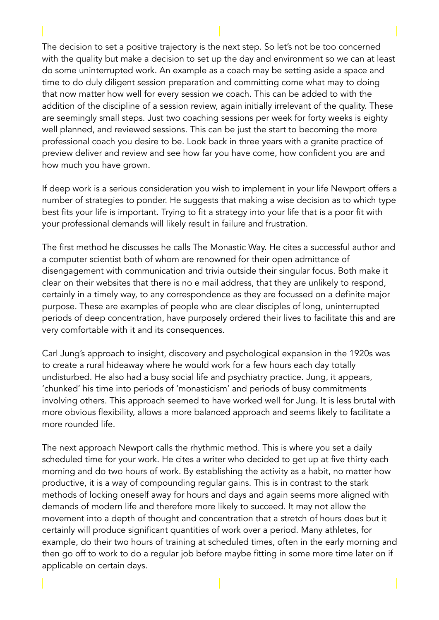The decision to set a positive trajectory is the next step. So let's not be too concerned with the quality but make a decision to set up the day and environment so we can at least do some uninterrupted work. An example as a coach may be setting aside a space and time to do duly diligent session preparation and committing come what may to doing that now matter how well for every session we coach. This can be added to with the addition of the discipline of a session review, again initially irrelevant of the quality. These are seemingly small steps. Just two coaching sessions per week for forty weeks is eighty well planned, and reviewed sessions. This can be just the start to becoming the more professional coach you desire to be. Look back in three years with a granite practice of preview deliver and review and see how far you have come, how confident you are and how much you have grown.

If deep work is a serious consideration you wish to implement in your life Newport offers a number of strategies to ponder. He suggests that making a wise decision as to which type best fits your life is important. Trying to fit a strategy into your life that is a poor fit with your professional demands will likely result in failure and frustration.

The first method he discusses he calls The Monastic Way. He cites a successful author and a computer scientist both of whom are renowned for their open admittance of disengagement with communication and trivia outside their singular focus. Both make it clear on their websites that there is no e mail address, that they are unlikely to respond, certainly in a timely way, to any correspondence as they are focussed on a definite major purpose. These are examples of people who are clear disciples of long, uninterrupted periods of deep concentration, have purposely ordered their lives to facilitate this and are very comfortable with it and its consequences.

Carl Jung's approach to insight, discovery and psychological expansion in the 1920s was to create a rural hideaway where he would work for a few hours each day totally undisturbed. He also had a busy social life and psychiatry practice. Jung, it appears, 'chunked' his time into periods of 'monasticism' and periods of busy commitments involving others. This approach seemed to have worked well for Jung. It is less brutal with more obvious flexibility, allows a more balanced approach and seems likely to facilitate a more rounded life.

The next approach Newport calls the rhythmic method. This is where you set a daily scheduled time for your work. He cites a writer who decided to get up at five thirty each morning and do two hours of work. By establishing the activity as a habit, no matter how productive, it is a way of compounding regular gains. This is in contrast to the stark methods of locking oneself away for hours and days and again seems more aligned with demands of modern life and therefore more likely to succeed. It may not allow the movement into a depth of thought and concentration that a stretch of hours does but it certainly will produce significant quantities of work over a period. Many athletes, for example, do their two hours of training at scheduled times, often in the early morning and then go off to work to do a regular job before maybe fitting in some more time later on if applicable on certain days.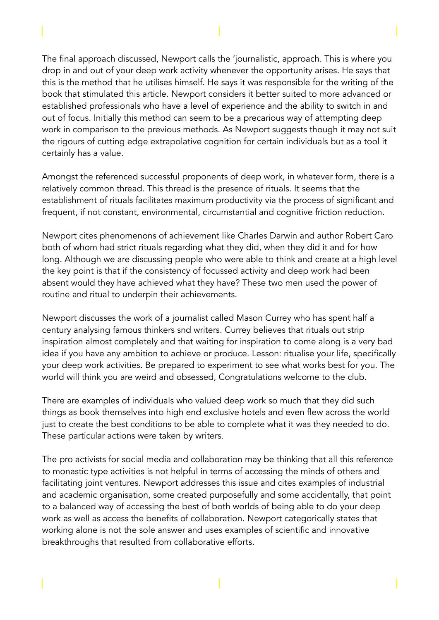The final approach discussed, Newport calls the 'journalistic, approach. This is where you drop in and out of your deep work activity whenever the opportunity arises. He says that this is the method that he utilises himself. He says it was responsible for the writing of the book that stimulated this article. Newport considers it better suited to more advanced or established professionals who have a level of experience and the ability to switch in and out of focus. Initially this method can seem to be a precarious way of attempting deep work in comparison to the previous methods. As Newport suggests though it may not suit the rigours of cutting edge extrapolative cognition for certain individuals but as a tool it certainly has a value.

Amongst the referenced successful proponents of deep work, in whatever form, there is a relatively common thread. This thread is the presence of rituals. It seems that the establishment of rituals facilitates maximum productivity via the process of significant and frequent, if not constant, environmental, circumstantial and cognitive friction reduction.

Newport cites phenomenons of achievement like Charles Darwin and author Robert Caro both of whom had strict rituals regarding what they did, when they did it and for how long. Although we are discussing people who were able to think and create at a high level the key point is that if the consistency of focussed activity and deep work had been absent would they have achieved what they have? These two men used the power of routine and ritual to underpin their achievements.

Newport discusses the work of a journalist called Mason Currey who has spent half a century analysing famous thinkers snd writers. Currey believes that rituals out strip inspiration almost completely and that waiting for inspiration to come along is a very bad idea if you have any ambition to achieve or produce. Lesson: ritualise your life, specifically your deep work activities. Be prepared to experiment to see what works best for you. The world will think you are weird and obsessed, Congratulations welcome to the club.

There are examples of individuals who valued deep work so much that they did such things as book themselves into high end exclusive hotels and even flew across the world just to create the best conditions to be able to complete what it was they needed to do. These particular actions were taken by writers.

The pro activists for social media and collaboration may be thinking that all this reference to monastic type activities is not helpful in terms of accessing the minds of others and facilitating joint ventures. Newport addresses this issue and cites examples of industrial and academic organisation, some created purposefully and some accidentally, that point to a balanced way of accessing the best of both worlds of being able to do your deep work as well as access the benefits of collaboration. Newport categorically states that working alone is not the sole answer and uses examples of scientific and innovative breakthroughs that resulted from collaborative efforts.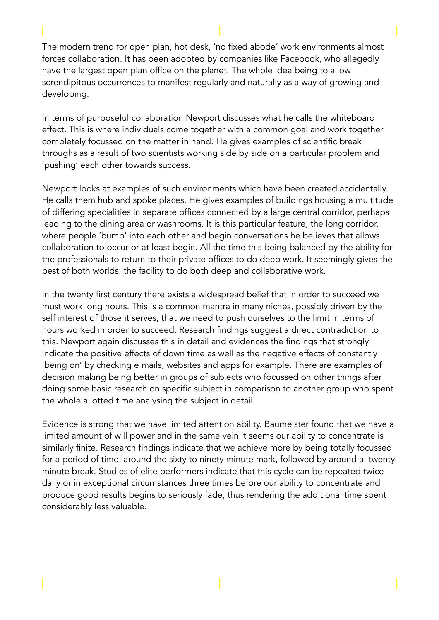The modern trend for open plan, hot desk, 'no fixed abode' work environments almost forces collaboration. It has been adopted by companies like Facebook, who allegedly have the largest open plan office on the planet. The whole idea being to allow serendipitous occurrences to manifest regularly and naturally as a way of growing and developing.

In terms of purposeful collaboration Newport discusses what he calls the whiteboard effect. This is where individuals come together with a common goal and work together completely focussed on the matter in hand. He gives examples of scientific break throughs as a result of two scientists working side by side on a particular problem and 'pushing' each other towards success.

Newport looks at examples of such environments which have been created accidentally. He calls them hub and spoke places. He gives examples of buildings housing a multitude of differing specialities in separate offices connected by a large central corridor, perhaps leading to the dining area or washrooms. It is this particular feature, the long corridor, where people 'bump' into each other and begin conversations he believes that allows collaboration to occur or at least begin. All the time this being balanced by the ability for the professionals to return to their private offices to do deep work. It seemingly gives the best of both worlds: the facility to do both deep and collaborative work.

In the twenty first century there exists a widespread belief that in order to succeed we must work long hours. This is a common mantra in many niches, possibly driven by the self interest of those it serves, that we need to push ourselves to the limit in terms of hours worked in order to succeed. Research findings suggest a direct contradiction to this. Newport again discusses this in detail and evidences the findings that strongly indicate the positive effects of down time as well as the negative effects of constantly 'being on' by checking e mails, websites and apps for example. There are examples of decision making being better in groups of subjects who focussed on other things after doing some basic research on specific subject in comparison to another group who spent the whole allotted time analysing the subject in detail.

Evidence is strong that we have limited attention ability. Baumeister found that we have a limited amount of will power and in the same vein it seems our ability to concentrate is similarly finite. Research findings indicate that we achieve more by being totally focussed for a period of time, around the sixty to ninety minute mark, followed by around a twenty minute break. Studies of elite performers indicate that this cycle can be repeated twice daily or in exceptional circumstances three times before our ability to concentrate and produce good results begins to seriously fade, thus rendering the additional time spent considerably less valuable.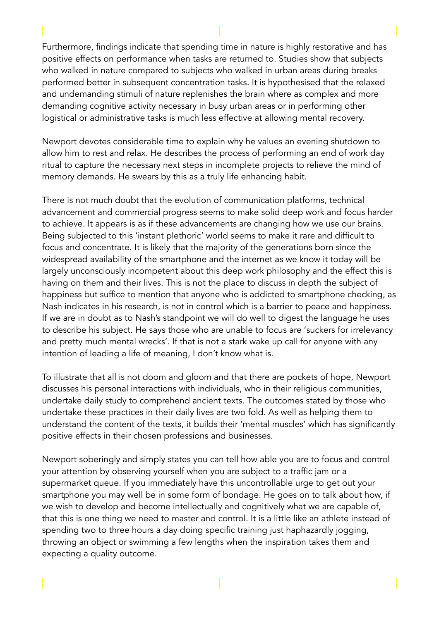Furthermore, findings indicate that spending time in nature is highly restorative and has positive effects on performance when tasks are returned to. Studies show that subjects who walked in nature compared to subjects who walked in urban areas during breaks performed better in subsequent concentration tasks. It is hypothesised that the relaxed and undemanding stimuli of nature replenishes the brain where as complex and more demanding cognitive activity necessary in busy urban areas or in performing other logistical or administrative tasks is much less effective at allowing mental recovery.

Newport devotes considerable time to explain why he values an evening shutdown to allow him to rest and relax. He describes the process of performing an end of work day ritual to capture the necessary next steps in incomplete projects to relieve the mind of memory demands. He swears by this as a truly life enhancing habit.

There is not much doubt that the evolution of communication platforms, technical advancement and commercial progress seems to make solid deep work and focus harder to achieve. It appears is as if these advancements are changing how we use our brains. Being subjected to this 'instant plethoric' world seems to make it rare and difficult to focus and concentrate. It is likely that the majority of the generations born since the widespread availability of the smartphone and the internet as we know it today will be largely unconsciously incompetent about this deep work philosophy and the effect this is having on them and their lives. This is not the place to discuss in depth the subject of happiness but suffice to mention that anyone who is addicted to smartphone checking, as Nash indicates in his research, is not in control which is a barrier to peace and happiness. If we are in doubt as to Nash's standpoint we will do well to digest the language he uses to describe his subject. He says those who are unable to focus are 'suckers for irrelevancy and pretty much mental wrecks'. If that is not a stark wake up call for anyone with any intention of leading a life of meaning, I don't know what is.

To illustrate that all is not doom and gloom and that there are pockets of hope, Newport discusses his personal interactions with individuals, who in their religious communities, undertake daily study to comprehend ancient texts. The outcomes stated by those who undertake these practices in their daily lives are two fold. As well as helping them to understand the content of the texts, it builds their 'mental muscles' which has significantly positive effects in their chosen professions and businesses.

Newport soberingly and simply states you can tell how able you are to focus and control your attention by observing yourself when you are subject to a traffic jam or a supermarket queue. If you immediately have this uncontrollable urge to get out your smartphone you may well be in some form of bondage. He goes on to talk about how, if we wish to develop and become intellectually and cognitively what we are capable of, that this is one thing we need to master and control. It is a little like an athlete instead of spending two to three hours a day doing specific training just haphazardly jogging, throwing an object or swimming a few lengths when the inspiration takes them and expecting a quality outcome.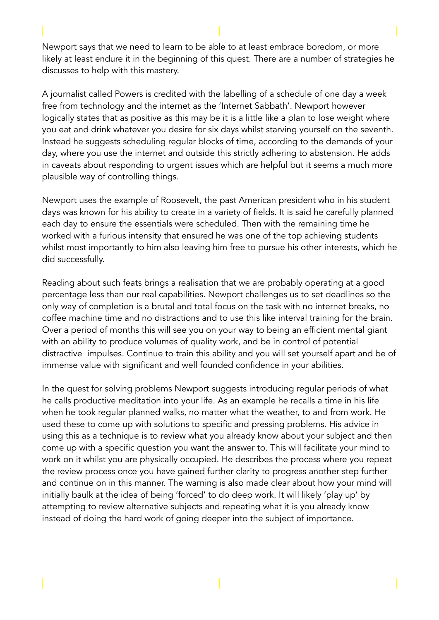Newport says that we need to learn to be able to at least embrace boredom, or more likely at least endure it in the beginning of this quest. There are a number of strategies he discusses to help with this mastery.

A journalist called Powers is credited with the labelling of a schedule of one day a week free from technology and the internet as the 'Internet Sabbath'. Newport however logically states that as positive as this may be it is a little like a plan to lose weight where you eat and drink whatever you desire for six days whilst starving yourself on the seventh. Instead he suggests scheduling regular blocks of time, according to the demands of your day, where you use the internet and outside this strictly adhering to abstension. He adds in caveats about responding to urgent issues which are helpful but it seems a much more plausible way of controlling things.

Newport uses the example of Roosevelt, the past American president who in his student days was known for his ability to create in a variety of fields. It is said he carefully planned each day to ensure the essentials were scheduled. Then with the remaining time he worked with a furious intensity that ensured he was one of the top achieving students whilst most importantly to him also leaving him free to pursue his other interests, which he did successfully.

Reading about such feats brings a realisation that we are probably operating at a good percentage less than our real capabilities. Newport challenges us to set deadlines so the only way of completion is a brutal and total focus on the task with no internet breaks, no coffee machine time and no distractions and to use this like interval training for the brain. Over a period of months this will see you on your way to being an efficient mental giant with an ability to produce volumes of quality work, and be in control of potential distractive impulses. Continue to train this ability and you will set yourself apart and be of immense value with significant and well founded confidence in your abilities.

In the quest for solving problems Newport suggests introducing regular periods of what he calls productive meditation into your life. As an example he recalls a time in his life when he took regular planned walks, no matter what the weather, to and from work. He used these to come up with solutions to specific and pressing problems. His advice in using this as a technique is to review what you already know about your subject and then come up with a specific question you want the answer to. This will facilitate your mind to work on it whilst you are physically occupied. He describes the process where you repeat the review process once you have gained further clarity to progress another step further and continue on in this manner. The warning is also made clear about how your mind will initially baulk at the idea of being 'forced' to do deep work. It will likely 'play up' by attempting to review alternative subjects and repeating what it is you already know instead of doing the hard work of going deeper into the subject of importance.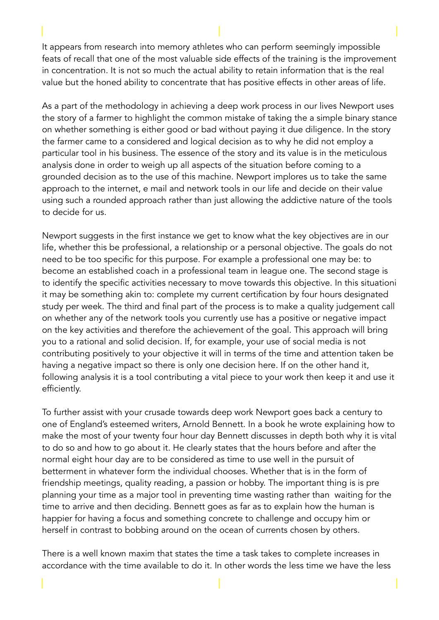It appears from research into memory athletes who can perform seemingly impossible feats of recall that one of the most valuable side effects of the training is the improvement in concentration. It is not so much the actual ability to retain information that is the real value but the honed ability to concentrate that has positive effects in other areas of life.

As a part of the methodology in achieving a deep work process in our lives Newport uses the story of a farmer to highlight the common mistake of taking the a simple binary stance on whether something is either good or bad without paying it due diligence. In the story the farmer came to a considered and logical decision as to why he did not employ a particular tool in his business. The essence of the story and its value is in the meticulous analysis done in order to weigh up all aspects of the situation before coming to a grounded decision as to the use of this machine. Newport implores us to take the same approach to the internet, e mail and network tools in our life and decide on their value using such a rounded approach rather than just allowing the addictive nature of the tools to decide for us.

Newport suggests in the first instance we get to know what the key objectives are in our life, whether this be professional, a relationship or a personal objective. The goals do not need to be too specific for this purpose. For example a professional one may be: to become an established coach in a professional team in league one. The second stage is to identify the specific activities necessary to move towards this objective. In this situationi it may be something akin to: complete my current certification by four hours designated study per week. The third and final part of the process is to make a quality judgement call on whether any of the network tools you currently use has a positive or negative impact on the key activities and therefore the achievement of the goal. This approach will bring you to a rational and solid decision. If, for example, your use of social media is not contributing positively to your objective it will in terms of the time and attention taken be having a negative impact so there is only one decision here. If on the other hand it, following analysis it is a tool contributing a vital piece to your work then keep it and use it efficiently.

To further assist with your crusade towards deep work Newport goes back a century to one of England's esteemed writers, Arnold Bennett. In a book he wrote explaining how to make the most of your twenty four hour day Bennett discusses in depth both why it is vital to do so and how to go about it. He clearly states that the hours before and after the normal eight hour day are to be considered as time to use well in the pursuit of betterment in whatever form the individual chooses. Whether that is in the form of friendship meetings, quality reading, a passion or hobby. The important thing is is pre planning your time as a major tool in preventing time wasting rather than waiting for the time to arrive and then deciding. Bennett goes as far as to explain how the human is happier for having a focus and something concrete to challenge and occupy him or herself in contrast to bobbing around on the ocean of currents chosen by others.

There is a well known maxim that states the time a task takes to complete increases in accordance with the time available to do it. In other words the less time we have the less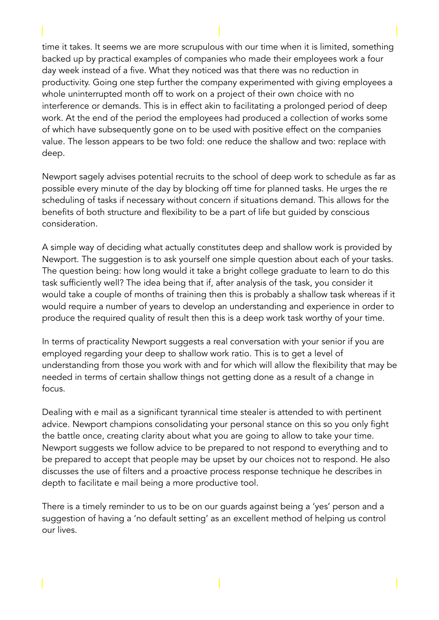time it takes. It seems we are more scrupulous with our time when it is limited, something backed up by practical examples of companies who made their employees work a four day week instead of a five. What they noticed was that there was no reduction in productivity. Going one step further the company experimented with giving employees a whole uninterrupted month off to work on a project of their own choice with no interference or demands. This is in effect akin to facilitating a prolonged period of deep work. At the end of the period the employees had produced a collection of works some of which have subsequently gone on to be used with positive effect on the companies value. The lesson appears to be two fold: one reduce the shallow and two: replace with deep.

Newport sagely advises potential recruits to the school of deep work to schedule as far as possible every minute of the day by blocking off time for planned tasks. He urges the re scheduling of tasks if necessary without concern if situations demand. This allows for the benefits of both structure and flexibility to be a part of life but guided by conscious consideration.

A simple way of deciding what actually constitutes deep and shallow work is provided by Newport. The suggestion is to ask yourself one simple question about each of your tasks. The question being: how long would it take a bright college graduate to learn to do this task sufficiently well? The idea being that if, after analysis of the task, you consider it would take a couple of months of training then this is probably a shallow task whereas if it would require a number of years to develop an understanding and experience in order to produce the required quality of result then this is a deep work task worthy of your time.

In terms of practicality Newport suggests a real conversation with your senior if you are employed regarding your deep to shallow work ratio. This is to get a level of understanding from those you work with and for which will allow the flexibility that may be needed in terms of certain shallow things not getting done as a result of a change in focus.

Dealing with e mail as a significant tyrannical time stealer is attended to with pertinent advice. Newport champions consolidating your personal stance on this so you only fight the battle once, creating clarity about what you are going to allow to take your time. Newport suggests we follow advice to be prepared to not respond to everything and to be prepared to accept that people may be upset by our choices not to respond. He also discusses the use of filters and a proactive process response technique he describes in depth to facilitate e mail being a more productive tool.

There is a timely reminder to us to be on our guards against being a 'yes' person and a suggestion of having a 'no default setting' as an excellent method of helping us control our lives.